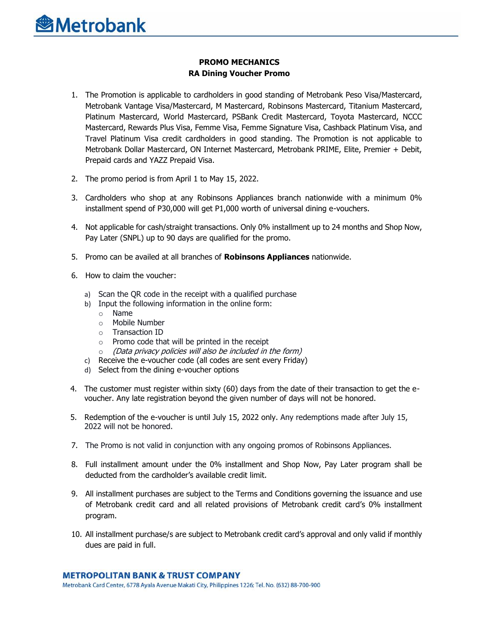

## **PROMO MECHANICS RA Dining Voucher Promo**

- 1. The Promotion is applicable to cardholders in good standing of Metrobank Peso Visa/Mastercard, Metrobank Vantage Visa/Mastercard, M Mastercard, Robinsons Mastercard, Titanium Mastercard, Platinum Mastercard, World Mastercard, PSBank Credit Mastercard, Toyota Mastercard, NCCC Mastercard, Rewards Plus Visa, Femme Visa, Femme Signature Visa, Cashback Platinum Visa, and Travel Platinum Visa credit cardholders in good standing. The Promotion is not applicable to Metrobank Dollar Mastercard, ON Internet Mastercard, Metrobank PRIME, Elite, Premier + Debit, Prepaid cards and YAZZ Prepaid Visa.
- 2. The promo period is from April 1 to May 15, 2022.
- 3. Cardholders who shop at any Robinsons Appliances branch nationwide with a minimum 0% installment spend of P30,000 will get P1,000 worth of universal dining e-vouchers.
- 4. Not applicable for cash/straight transactions. Only 0% installment up to 24 months and Shop Now, Pay Later (SNPL) up to 90 days are qualified for the promo.
- 5. Promo can be availed at all branches of **Robinsons Appliances** nationwide.
- 6. How to claim the voucher:
	- a) Scan the QR code in the receipt with a qualified purchase
	- b) Input the following information in the online form:
		- o Name
		- o Mobile Number
		- o Transaction ID
		- $\circ$  Promo code that will be printed in the receipt
		- o (Data privacy policies will also be included in the form)
	- c) Receive the e-voucher code (all codes are sent every Friday)
	- d) Select from the dining e-voucher options
- 4. The customer must register within sixty (60) days from the date of their transaction to get the evoucher. Any late registration beyond the given number of days will not be honored.
- 5. Redemption of the e-voucher is until July 15, 2022 only. Any redemptions made after July 15, 2022 will not be honored.
- 7. The Promo is not valid in conjunction with any ongoing promos of Robinsons Appliances.
- 8. Full installment amount under the 0% installment and Shop Now, Pay Later program shall be deducted from the cardholder's available credit limit.
- 9. All installment purchases are subject to the Terms and Conditions governing the issuance and use of Metrobank credit card and all related provisions of Metrobank credit card's 0% installment program.
- 10. All installment purchase/s are subject to Metrobank credit card's approval and only valid if monthly dues are paid in full.